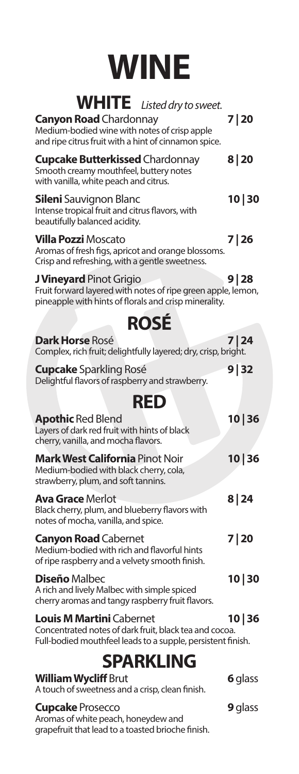## **WINE**

| WHITE Listed dry to sweet.                                                                                                                               |                |
|----------------------------------------------------------------------------------------------------------------------------------------------------------|----------------|
| <b>Canyon Road</b> Chardonnay<br>Medium-bodied wine with notes of crisp apple<br>and ripe citrus fruit with a hint of cinnamon spice.                    | 7 20           |
| <b>Cupcake Butterkissed Chardonnay</b><br>Smooth creamy mouthfeel, buttery notes<br>with vanilla, white peach and citrus.                                | 8   20         |
| <b>Sileni</b> Sauvignon Blanc<br>Intense tropical fruit and citrus flavors, with<br>beautifully balanced acidity.                                        | 10 30          |
| <b>Villa Pozzi Moscato</b><br>Aromas of fresh figs, apricot and orange blossoms.<br>Crisp and refreshing, with a gentle sweetness.                       | 7 26           |
| <b>J Vineyard</b> Pinot Grigio<br>Fruit forward layered with notes of ripe green apple, lemon,<br>pineapple with hints of florals and crisp minerality.  | 9 28           |
| <b>ROSÉ</b>                                                                                                                                              |                |
| <b>Dark Horse Rosé</b><br>Complex, rich fruit; delightfully layered; dry, crisp, bright.                                                                 | 7   24         |
| <b>Cupcake</b> Sparkling Rosé<br>Delightful flavors of raspberry and strawberry.                                                                         | 9 32           |
| <b>RED</b>                                                                                                                                               |                |
| <b>Apothic Red Blend</b><br>Layers of dark red fruit with hints of black<br>cherry, vanilla, and mocha flavors.                                          | 10 36          |
| <b>Mark West California</b> Pinot Noir<br>Medium-bodied with black cherry, cola,<br>strawberry, plum, and soft tannins.                                  | 10 36          |
| <b>Ava Grace Merlot</b><br>Black cherry, plum, and blueberry flavors with<br>notes of mocha, vanilla, and spice.                                         | 8 24           |
| <b>Canyon Road</b> Cabernet<br>Medium-bodied with rich and flavorful hints<br>of ripe raspberry and a velvety smooth finish.                             | 7 20           |
| <b>Diseño</b> Malbec<br>A rich and lively Malbec with simple spiced<br>cherry aromas and tangy raspberry fruit flavors.                                  | 10 30          |
| <b>Louis M Martini Cabernet</b><br>Concentrated notes of dark fruit, black tea and cocoa.<br>Full-bodied mouthfeel leads to a supple, persistent finish. | 10 36          |
| <b>SPARKLING</b>                                                                                                                                         |                |
| <b>William Wycliff Brut</b><br>A touch of sweetness and a crisp, clean finish.                                                                           | 6 glass        |
| <b>Cupcake Prosecco</b>                                                                                                                                  | <b>9</b> glass |

Aromas of white peach, honeydew and grapefruit that lead to a toasted brioche finish.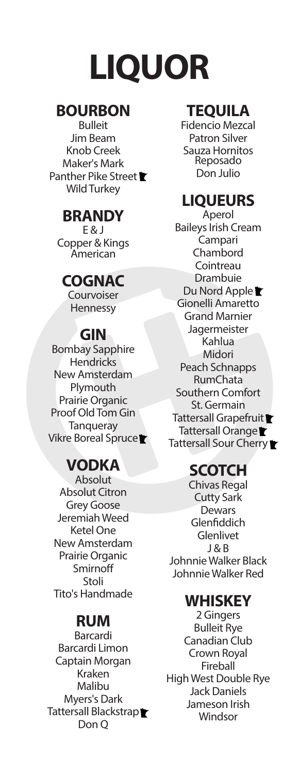# **LIQUOR**

#### **BOURBON**

Bulleit Jim Beam Knob Creek Maker's Mark Panther Pike Street **★** Wild Turkey

#### **BRANDY**

E & J Copper & Kings American

#### **COGNAC**

**Courvoiser** Hennessy

#### **GIN**

Bombay Sapphire **Hendricks** New Amsterdam Plymouth Prairie Organic Proof Old Tom Gin **Tanqueray** Vikre Boreal Spruce

## **VODKA**

Absolut Absolut Citron Grey Goose Jeremiah Weed Ketel One New Amsterdam Prairie Organic Smirnoff Stoli Tito's Handmade

## **RUM**

Barcardi Barcardi Limon Captain Morgan Kraken Malibu Myers's Dark Tattersall Blackstrap<sup>■</sup> Don Q

#### **TEQUILA**

Fidencio Mezcal Patron Silver Sauza Hornitos Reposado Don Julio

### **LIQUEURS**

Aperol Baileys Irish Cream Campari Chambord **Cointreau** Drambuie Du Nord Apple Gionelli Amaretto Grand Marnier Jagermeister Kahlua Midori Peach Schnapps RumChata Southern Comfort St. Germain Tattersall Grapefruit<sup>t</sup> Tattersall Orange Tattersall Sour Cherry

#### **SCOTCH**

Chivas Regal Cutty Sark **Dewars** Glenfiddich Glenlivet J & B Johnnie Walker Black Johnnie Walker Red

#### **WHISKEY**

2 Gingers Bulleit Rye Canadian Club Crown Royal Fireball High West Double Rye Jack Daniels Jameson Irish Windsor